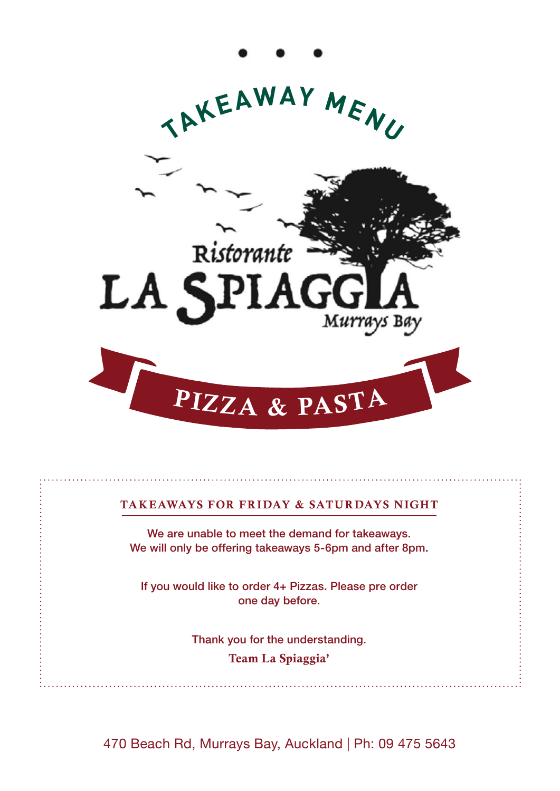

## TAKEAWAYS FOR FRIDAY & SATURDAYS NIGHT

We are unable to meet the demand for takeaways. We will only be offering takeaways 5-6pm and after 8pm.

If you would like to order 4+ Pizzas. Please pre order one day before.

> Thank you for the understanding. Team La Spiaggia'

470 Beach Rd, Murrays Bay, Auckland | Ph: 09 475 5643 470 Beach Rd, Murrays Bay, Auckland | Ph: 09 475 5643